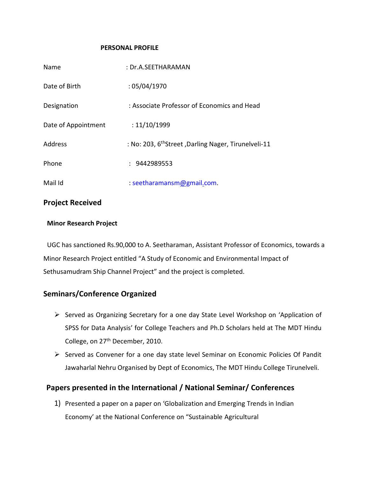#### **PERSONAL PROFILE**

| Name                | : Dr.A.SEETHARAMAN                                               |
|---------------------|------------------------------------------------------------------|
| Date of Birth       | :05/04/1970                                                      |
| Designation         | : Associate Professor of Economics and Head                      |
| Date of Appointment | : 11/10/1999                                                     |
| Address             | : No: 203, 6 <sup>th</sup> Street, Darling Nager, Tirunelveli-11 |
| Phone               | : 9442989553                                                     |
| Mail Id             | : seetharamansm@gmail.com.                                       |

## **Project Received**

### **Minor Research Project**

UGC has sanctioned Rs.90,000 to A. Seetharaman, Assistant Professor of Economics, towards a Minor Research Project entitled "A Study of Economic and Environmental Impact of Sethusamudram Ship Channel Project" and the project is completed.

# **Seminars/Conference Organized**

- Served as Organizing Secretary for a one day State Level Workshop on 'Application of SPSS for Data Analysis' for College Teachers and Ph.D Scholars held at The MDT Hindu College, on 27<sup>th</sup> December, 2010.
- $\triangleright$  Served as Convener for a one day state level Seminar on Economic Policies Of Pandit Jawaharlal Nehru Organised by Dept of Economics, The MDT Hindu College Tirunelveli.

# **Papers presented in the International / National Seminar/ Conferences**

1) Presented a paper on a paper on 'Globalization and Emerging Trends in Indian Economy' at the National Conference on "Sustainable Agricultural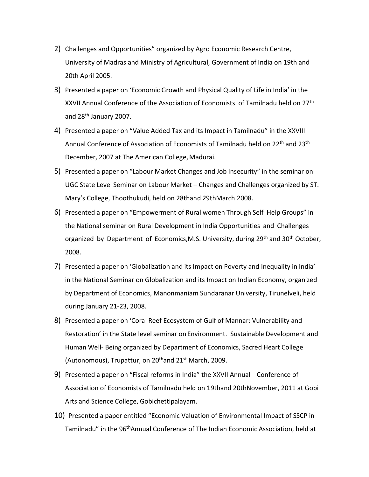- 2) Challenges and Opportunities" organized by Agro Economic Research Centre, University of Madras and Ministry of Agricultural, Government of India on 19th and 20th April 2005.
- 3) Presented a paper on 'Economic Growth and Physical Quality of Life in India' in the XXVII Annual Conference of the Association of Economists of Tamilnadu held on 27<sup>th</sup> and 28<sup>th</sup> January 2007.
- 4) Presented a paper on "Value Added Tax and its Impact in Tamilnadu" in the XXVIII Annual Conference of Association of Economists of Tamilnadu held on 22<sup>th</sup> and 23<sup>th</sup> December, 2007 at The American College, Madurai.
- 5) Presented a paper on "Labour Market Changes and Job Insecurity" in the seminar on UGC State Level Seminar on Labour Market – Changes and Challenges organized by ST. Mary's College, Thoothukudi, held on 28thand 29thMarch 2008.
- 6) Presented a paper on "Empowerment of Rural women Through Self Help Groups" in the National seminar on Rural Development in India Opportunities and Challenges organized by Department of Economics, M.S. University, during 29<sup>th</sup> and 30<sup>th</sup> October, 2008.
- 7) Presented a paper on 'Globalization and its Impact on Poverty and Inequality in India' in the National Seminar on Globalization and its Impact on Indian Economy, organized by Department of Economics, Manonmaniam Sundaranar University, Tirunelveli, held during January 21-23, 2008.
- 8) Presented a paper on 'Coral Reef Ecosystem of Gulf of Mannar: Vulnerability and Restoration' in the State level seminar on Environment. Sustainable Development and Human Well- Being organized by Department of Economics, Sacred Heart College (Autonomous), Trupattur, on  $20<sup>th</sup>$  and  $21<sup>st</sup>$  March, 2009.
- 9) Presented a paper on "Fiscal reforms in India" the XXVII Annual Conference of Association of Economists of Tamilnadu held on 19thand 20thNovember, 2011 at Gobi Arts and Science College, Gobichettipalayam.
- 10) Presented a paper entitled "Economic Valuation of Environmental Impact of SSCP in Tamilnadu" in the 96<sup>th</sup>Annual Conference of The Indian Economic Association, held at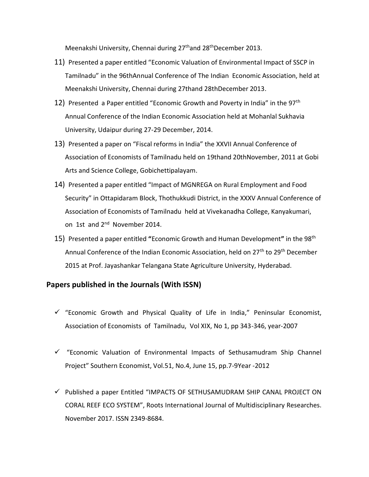Meenakshi University, Chennai during 27<sup>th</sup>and 28<sup>th</sup>December 2013.

- 11) Presented a paper entitled "Economic Valuation of Environmental Impact of SSCP in Tamilnadu" in the 96thAnnual Conference of The Indian Economic Association, held at Meenakshi University, Chennai during 27thand 28thDecember 2013.
- 12) Presented a Paper entitled "Economic Growth and Poverty in India" in the 97<sup>th</sup> Annual Conference of the Indian Economic Association held at Mohanlal Sukhavia University, Udaipur during 27-29 December, 2014.
- 13) Presented a paper on "Fiscal reforms in India" the XXVII Annual Conference of Association of Economists of Tamilnadu held on 19thand 20thNovember, 2011 at Gobi Arts and Science College, Gobichettipalayam.
- 14) Presented a paper entitled "Impact of MGNREGA on Rural Employment and Food Security" in Ottapidaram Block, Thothukkudi District, in the XXXV Annual Conference of Association of Economists of Tamilnadu held at Vivekanadha College, Kanyakumari, on 1st and 2<sup>nd</sup> November 2014.
- 15) Presented a paper entitled **"**Economic Growth and Human Development**"** in the 98th Annual Conference of the Indian Economic Association, held on 27<sup>th</sup> to 29<sup>th</sup> December 2015 at Prof. Jayashankar Telangana State Agriculture University, Hyderabad.

### **Papers published in the Journals (With ISSN)**

- $\checkmark$  "Economic Growth and Physical Quality of Life in India," Peninsular Economist, Association of Economists of Tamilnadu, Vol XIX, No 1, pp 343-346, year-2007
- $\checkmark$  "Economic Valuation of Environmental Impacts of Sethusamudram Ship Channel Project" Southern Economist, Vol.51, No.4, June 15, pp.7-9Year -2012
- $\checkmark$  Published a paper Entitled "IMPACTS OF SETHUSAMUDRAM SHIP CANAL PROJECT ON CORAL REEF ECO SYSTEM", Roots International Journal of Multidisciplinary Researches. November 2017. ISSN 2349-8684.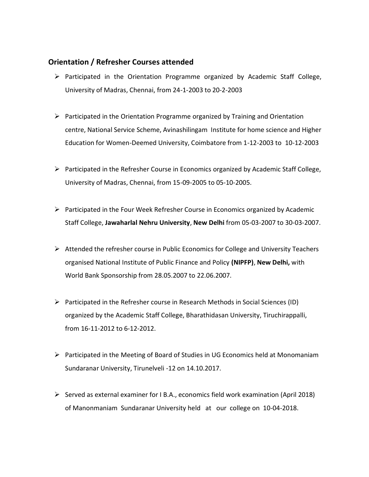## **Orientation / Refresher Courses attended**

- $\triangleright$  Participated in the Orientation Programme organized by Academic Staff College, University of Madras, Chennai, from 24-1-2003 to 20-2-2003
- $\triangleright$  Participated in the Orientation Programme organized by Training and Orientation centre, National Service Scheme, Avinashilingam Institute for home science and Higher Education for Women-Deemed University, Coimbatore from 1-12-2003 to 10-12-2003
- $\triangleright$  Participated in the Refresher Course in Economics organized by Academic Staff College, University of Madras, Chennai, from 15-09-2005 to 05-10-2005.
- $\triangleright$  Participated in the Four Week Refresher Course in Economics organized by Academic Staff College, **Jawaharlal Nehru University**, **New Delhi** from 05-03-2007 to 30-03-2007.
- $\triangleright$  Attended the refresher course in Public Economics for College and University Teachers organised National Institute of Public Finance and Policy **(NIPFP)**, **New Delhi,** with World Bank Sponsorship from 28.05.2007 to 22.06.2007.
- $\triangleright$  Participated in the Refresher course in Research Methods in Social Sciences (ID) organized by the Academic Staff College, Bharathidasan University, Tiruchirappalli, from 16-11-2012 to 6-12-2012.
- $\triangleright$  Participated in the Meeting of Board of Studies in UG Economics held at Monomaniam Sundaranar University, Tirunelveli -12 on 14.10.2017.
- $\triangleright$  Served as external examiner for I B.A., economics field work examination (April 2018) of Manonmaniam Sundaranar University held at our college on 10-04-2018.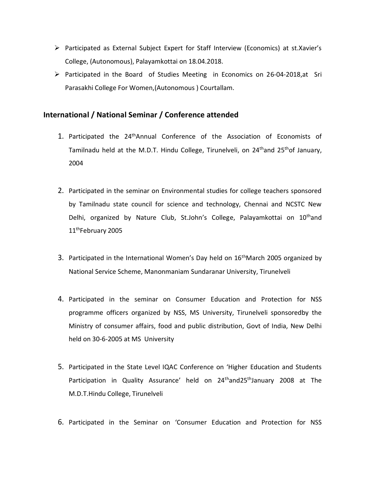- $\triangleright$  Participated as External Subject Expert for Staff Interview (Economics) at st.Xavier's College, (Autonomous), Palayamkottai on 18.04.2018.
- $\triangleright$  Participated in the Board of Studies Meeting in Economics on 26-04-2018, at Sri Parasakhi College For Women,(Autonomous ) Courtallam.

## **International / National Seminar / Conference attended**

- 1. Participated the 24thAnnual Conference of the Association of Economists of Tamilnadu held at the M.D.T. Hindu College, Tirunelveli, on  $24<sup>th</sup>$ and  $25<sup>th</sup>$ of January, 2004
- 2. Participated in the seminar on Environmental studies for college teachers sponsored by Tamilnadu state council for science and technology, Chennai and NCSTC New Delhi, organized by Nature Club, St.John's College, Palayamkottai on 10<sup>th</sup>and 11<sup>th</sup>February 2005
- 3. Participated in the International Women's Day held on  $16<sup>th</sup>$ March 2005 organized by National Service Scheme, Manonmaniam Sundaranar University, Tirunelveli
- 4. Participated in the seminar on Consumer Education and Protection for NSS programme officers organized by NSS, MS University, Tirunelveli sponsoredby the Ministry of consumer affairs, food and public distribution, Govt of India, New Delhi held on 30-6-2005 at MS University
- 5. Participated in the State Level IQAC Conference on 'Higher Education and Students Participation in Quality Assurance' held on 24<sup>th</sup>and25<sup>th</sup>January 2008 at The M.D.T.Hindu College, Tirunelveli
- 6. Participated in the Seminar on 'Consumer Education and Protection for NSS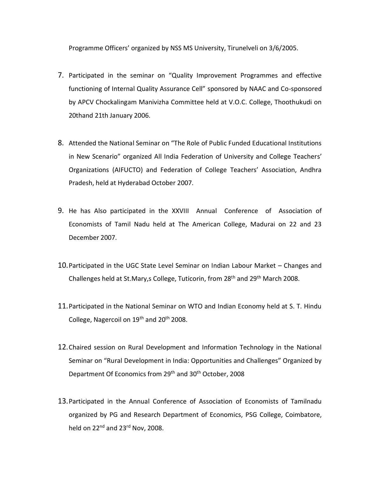Programme Officers' organized by NSS MS University, Tirunelveli on 3/6/2005.

- 7. Participated in the seminar on "Quality Improvement Programmes and effective functioning of Internal Quality Assurance Cell" sponsored by NAAC and Co-sponsored by APCV Chockalingam Manivizha Committee held at V.O.C. College, Thoothukudi on 20thand 21th January 2006.
- 8. Attended the National Seminar on "The Role of Public Funded Educational Institutions in New Scenario" organized All India Federation of University and College Teachers' Organizations (AIFUCTO) and Federation of College Teachers' Association, Andhra Pradesh, held at Hyderabad October 2007.
- 9. He has Also participated in the XXVIII Annual Conference of Association of Economists of Tamil Nadu held at The American College, Madurai on 22 and 23 December 2007.
- 10.Participated in the UGC State Level Seminar on Indian Labour Market Changes and Challenges held at St.Mary,s College, Tuticorin, from 28th and 29th March 2008.
- 11.Participated in the National Seminar on WTO and Indian Economy held at S. T. Hindu College, Nagercoil on 19<sup>th</sup> and 20<sup>th</sup> 2008.
- 12.Chaired session on Rural Development and Information Technology in the National Seminar on "Rural Development in India: Opportunities and Challenges" Organized by Department Of Economics from 29<sup>th</sup> and 30<sup>th</sup> October, 2008
- 13.Participated in the Annual Conference of Association of Economists of Tamilnadu organized by PG and Research Department of Economics, PSG College, Coimbatore, held on  $22^{nd}$  and  $23^{rd}$  Nov. 2008.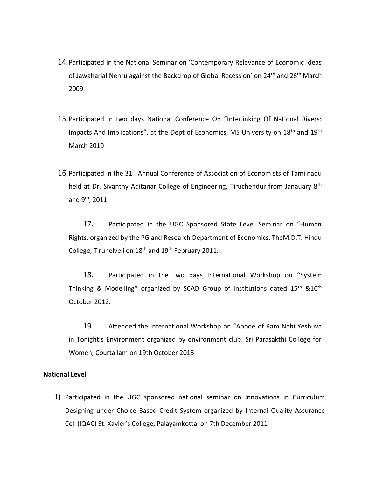- 14.Participated in the National Seminar on 'Contemporary Relevance of Economic Ideas of Jawaharlal Nehru against the Backdrop of Global Recession' on 24<sup>th</sup> and 26<sup>th</sup> March 2009.
- 15.Participated in two days National Conference On "Interlinking Of National Rivers: Impacts And Implications", at the Dept of Economics, MS University on 18<sup>th</sup> and 19<sup>th</sup> March 2010
- 16. Participated in the 31<sup>st</sup> Annual Conference of Association of Economists of Tamilnadu held at Dr. Sivanthy Aditanar College of Engineering, Tiruchendur from Janauary 8<sup>th</sup> and  $9^{\text{th}}$ , 2011.

17. Participated in the UGC Sponsored State Level Seminar on "Human Rights, organized by the PG and Research Department of Economics, TheM.D.T. Hindu College, Tirunelveli on 18<sup>th</sup> and 19<sup>th</sup> February 2011.

18. Participated in the two days International Workshop on **"**System Thinking & Modelling**"** organized by SCAD Group of Institutions dated 15th &16th October 2012.

19. Attended the International Workshop on "Abode of Ram Nabi Yeshuva in Tonight's Environment organized by environment club, Sri Parasakthi College for Women, Courtallam on 19th October 2013

### **National Level**

1) Participated in the UGC sponsored national seminar on Innovations in Curriculum Designing under Choice Based Credit System organized by Internal Quality Assurance Cell (IQAC) St. Xavier's College, Palayamkottai on 7th December 2011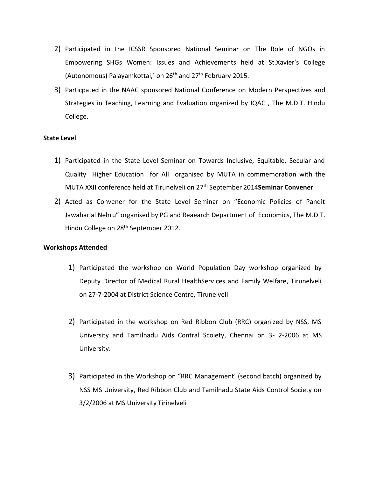- 2) Participated in the ICSSR Sponsored National Seminar on The Role of NGOs in Empowering SHGs Women: Issues and Achievements held at St.Xavier's College (Autonomous) Palayamkottai, on  $26<sup>th</sup>$  and  $27<sup>th</sup>$  February 2015.
- 3) Particpated in the NAAC sponsored National Conference on Modern Perspectives and Strategies in Teaching, Learning and Evaluation organized by IQAC , The M.D.T. Hindu College.

### **State Level**

- 1) Participated in the State Level Seminar on Towards Inclusive, Equitable, Secular and Quality Higher Education for All organised by MUTA in commemoration with the MUTA XXII conference held at Tirunelveli on 27th September 2014**Seminar Convener**
- 2) Acted as Convener for the State Level Seminar on "Economic Policies of Pandit Jawaharlal Nehru" organised by PG and Reaearch Department of Economics, The M.D.T. Hindu College on 28<sup>th</sup> September 2012.

#### **Workshops Attended**

- 1) Participated the workshop on World Population Day workshop organized by Deputy Director of Medical Rural HealthServices and Family Welfare, Tirunelveli on 27-7-2004 at District Science Centre, Tirunelveli
- 2) Participated in the workshop on Red Ribbon Club (RRC) organized by NSS, MS University and Tamilnadu Aids Contral Scoiety, Chennai on 3- 2-2006 at MS University.
- 3) Participated in the Workshop on "RRC Management' (second batch) organized by NSS MS University, Red Ribbon Club and Tamilnadu State Aids Control Society on 3/2/2006 at MS University Tirinelveli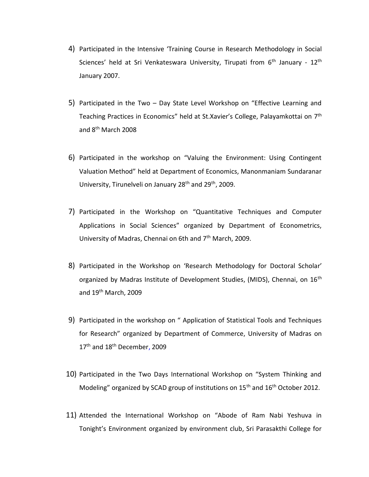- 4) Participated in the Intensive 'Training Course in Research Methodology in Social Sciences' held at Sri Venkateswara University, Tirupati from  $6<sup>th</sup>$  January -  $12<sup>th</sup>$ January 2007.
- 5) Participated in the Two Day State Level Workshop on "Effective Learning and Teaching Practices in Economics" held at St.Xavier's College, Palayamkottai on 7<sup>th</sup> and 8th March 2008
- 6) Participated in the workshop on "Valuing the Environment: Using Contingent Valuation Method" held at Department of Economics, Manonmaniam Sundaranar University, Tirunelveli on January 28<sup>th</sup> and 29<sup>th</sup>, 2009.
- 7) Participated in the Workshop on "Quantitative Techniques and Computer Applications in Social Sciences" organized by Department of Econometrics, University of Madras, Chennai on 6th and 7<sup>th</sup> March, 2009.
- 8) Participated in the Workshop on 'Research Methodology for Doctoral Scholar' organized by Madras Institute of Development Studies, (MIDS), Chennai, on 16<sup>th</sup> and 19th March, 2009
- 9) Participated in the workshop on " Application of Statistical Tools and Techniques for Research" organized by Department of Commerce, University of Madras on 17<sup>th</sup> and 18<sup>th</sup> December, 2009
- 10) Participated in the Two Days International Workshop on "System Thinking and Modeling" organized by SCAD group of institutions on 15<sup>th</sup> and 16<sup>th</sup> October 2012.
- 11) Attended the International Workshop on "Abode of Ram Nabi Yeshuva in Tonight's Environment organized by environment club, Sri Parasakthi College for